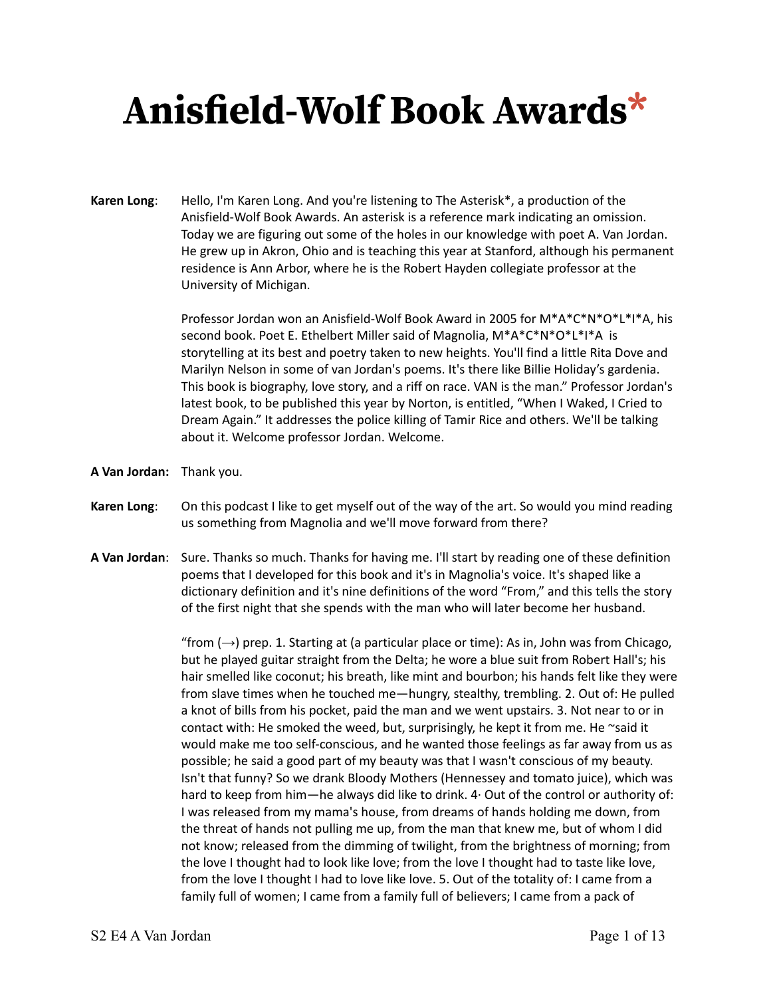**Karen Long**: Hello, I'm Karen Long. And you're listening to The Asterisk\*, a production of the Anisfield-Wolf Book Awards. An asterisk is a reference mark indicating an omission. Today we are figuring out some of the holes in our knowledge with poet A. Van Jordan. He grew up in Akron, Ohio and is teaching this year at Stanford, although his permanent residence is Ann Arbor, where he is the Robert Hayden collegiate professor at the University of Michigan.

> Professor Jordan won an Anisfield-Wolf Book Award in 2005 for M\*A\*C\*N\*O\*L\*I\*A, his second book. Poet E. Ethelbert Miller said of Magnolia, M\*A\*C\*N\*O\*L\*I\*A is storytelling at its best and poetry taken to new heights. You'll find a little Rita Dove and Marilyn Nelson in some of van Jordan's poems. It's there like Billie Holiday's gardenia. This book is biography, love story, and a riff on race. VAN is the man." Professor Jordan's latest book, to be published this year by Norton, is entitled, "When I Waked, I Cried to Dream Again." It addresses the police killing of Tamir Rice and others. We'll be talking about it. Welcome professor Jordan. Welcome.

- **A Van Jordan:** Thank you.
- **Karen Long**: On this podcast I like to get myself out of the way of the art. So would you mind reading us something from Magnolia and we'll move forward from there?
- **A Van Jordan**: Sure. Thanks so much. Thanks for having me. I'll start by reading one of these definition poems that I developed for this book and it's in Magnolia's voice. It's shaped like a dictionary definition and it's nine definitions of the word "From," and this tells the story of the first night that she spends with the man who will later become her husband.

"from  $(\rightarrow)$  prep. 1. Starting at (a particular place or time): As in, John was from Chicago, but he played guitar straight from the Delta; he wore a blue suit from Robert Hall's; his hair smelled like coconut; his breath, like mint and bourbon; his hands felt like they were from slave times when he touched me—hungry, stealthy, trembling. 2. Out of: He pulled a knot of bills from his pocket, paid the man and we went upstairs. 3. Not near to or in contact with: He smoked the weed, but, surprisingly, he kept it from me. He  $\sim$ said it would make me too self-conscious, and he wanted those feelings as far away from us as possible; he said a good part of my beauty was that I wasn't conscious of my beauty. Isn't that funny? So we drank Bloody Mothers (Hennessey and tomato juice), which was hard to keep from him—he always did like to drink. 4· Out of the control or authority of: I was released from my mama's house, from dreams of hands holding me down, from the threat of hands not pulling me up, from the man that knew me, but of whom I did not know; released from the dimming of twilight, from the brightness of morning; from the love I thought had to look like love; from the love I thought had to taste like love, from the love I thought I had to love like love. 5. Out of the totality of: I came from a family full of women; I came from a family full of believers; I came from a pack of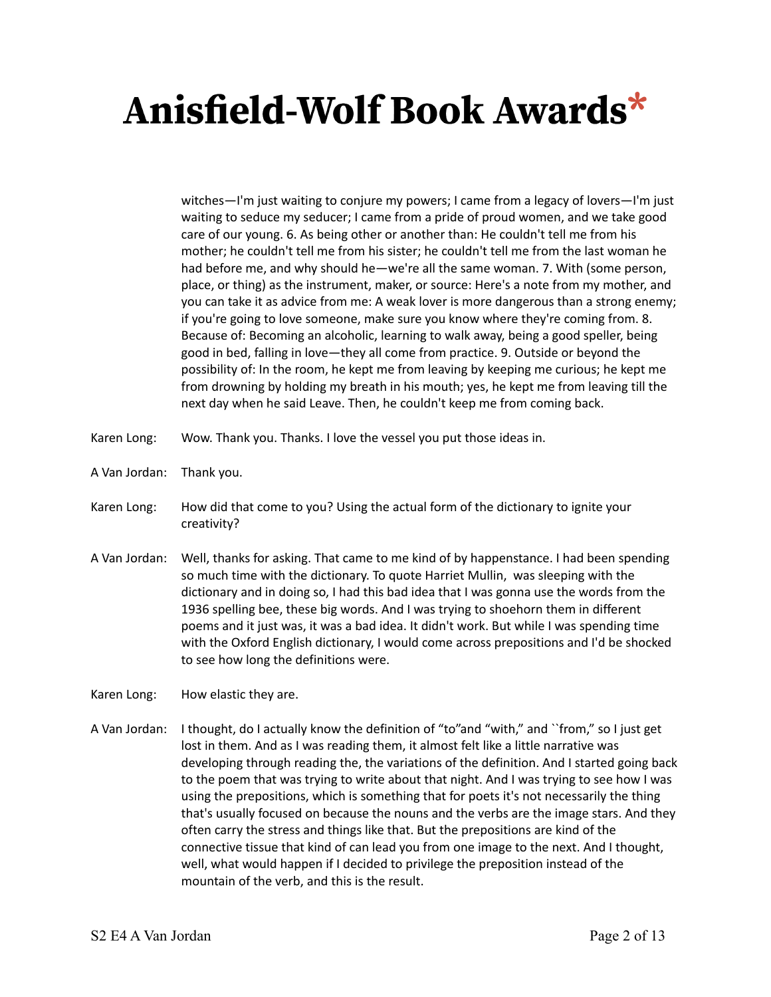witches—I'm just waiting to conjure my powers; I came from a legacy of lovers—I'm just waiting to seduce my seducer; I came from a pride of proud women, and we take good care of our young. 6. As being other or another than: He couldn't tell me from his mother; he couldn't tell me from his sister; he couldn't tell me from the last woman he had before me, and why should he—we're all the same woman. 7. With (some person, place, or thing) as the instrument, maker, or source: Here's a note from my mother, and you can take it as advice from me: A weak lover is more dangerous than a strong enemy; if you're going to love someone, make sure you know where they're coming from. 8. Because of: Becoming an alcoholic, learning to walk away, being a good speller, being good in bed, falling in love—they all come from practice. 9. Outside or beyond the possibility of: In the room, he kept me from leaving by keeping me curious; he kept me from drowning by holding my breath in his mouth; yes, he kept me from leaving till the next day when he said Leave. Then, he couldn't keep me from coming back.

- Karen Long: Wow. Thank you. Thanks. I love the vessel you put those ideas in.
- A Van Jordan: Thank you.
- Karen Long: How did that come to you? Using the actual form of the dictionary to ignite your creativity?
- A Van Jordan: Well, thanks for asking. That came to me kind of by happenstance. I had been spending so much time with the dictionary. To quote Harriet Mullin, was sleeping with the dictionary and in doing so, I had this bad idea that I was gonna use the words from the 1936 spelling bee, these big words. And I was trying to shoehorn them in different poems and it just was, it was a bad idea. It didn't work. But while I was spending time with the Oxford English dictionary, I would come across prepositions and I'd be shocked to see how long the definitions were.

Karen Long: How elastic they are.

A Van Jordan: I thought, do I actually know the definition of "to"and "with," and ``from," so I just get lost in them. And as I was reading them, it almost felt like a little narrative was developing through reading the, the variations of the definition. And I started going back to the poem that was trying to write about that night. And I was trying to see how I was using the prepositions, which is something that for poets it's not necessarily the thing that's usually focused on because the nouns and the verbs are the image stars. And they often carry the stress and things like that. But the prepositions are kind of the connective tissue that kind of can lead you from one image to the next. And I thought, well, what would happen if I decided to privilege the preposition instead of the mountain of the verb, and this is the result.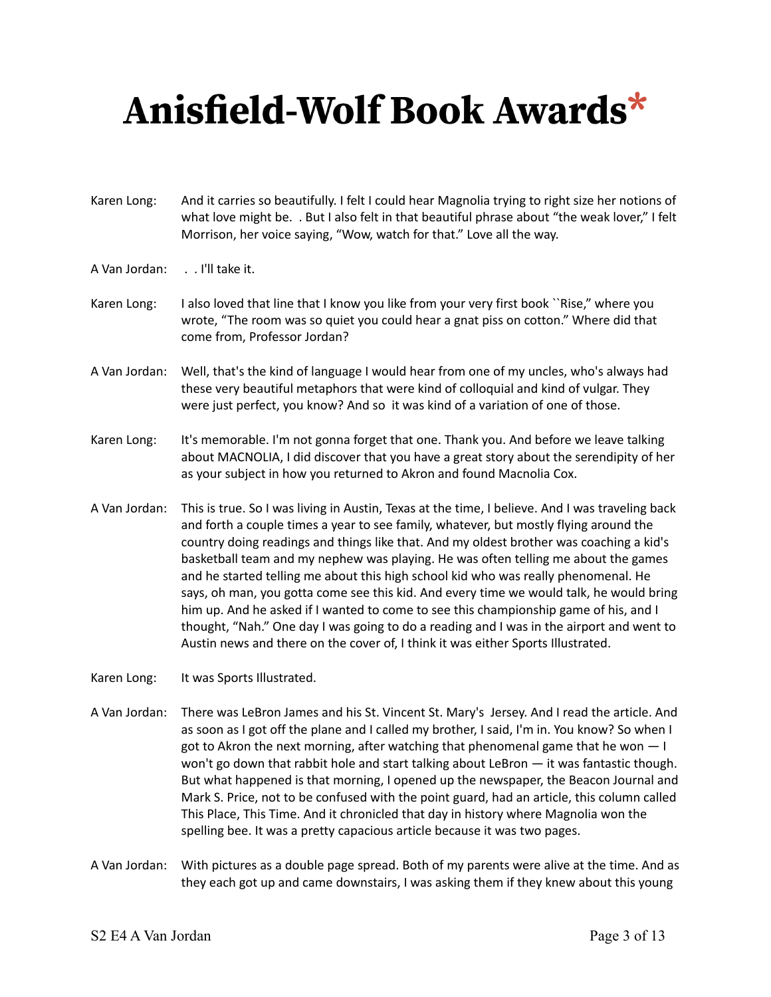- Karen Long: And it carries so beautifully. I felt I could hear Magnolia trying to right size her notions of what love might be. . But I also felt in that beautiful phrase about "the weak lover," I felt Morrison, her voice saying, "Wow, watch for that." Love all the way.
- A Van Jordan: . . I'll take it.
- Karen Long: I also loved that line that I know you like from your very first book ``Rise," where you wrote, "The room was so quiet you could hear a gnat piss on cotton." Where did that come from, Professor Jordan?
- A Van Jordan: Well, that's the kind of language I would hear from one of my uncles, who's always had these very beautiful metaphors that were kind of colloquial and kind of vulgar. They were just perfect, you know? And so it was kind of a variation of one of those.
- Karen Long: It's memorable. I'm not gonna forget that one. Thank you. And before we leave talking about MACNOLIA, I did discover that you have a great story about the serendipity of her as your subject in how you returned to Akron and found Macnolia Cox.
- A Van Jordan: This is true. So I was living in Austin, Texas at the time, I believe. And I was traveling back and forth a couple times a year to see family, whatever, but mostly flying around the country doing readings and things like that. And my oldest brother was coaching a kid's basketball team and my nephew was playing. He was often telling me about the games and he started telling me about this high school kid who was really phenomenal. He says, oh man, you gotta come see this kid. And every time we would talk, he would bring him up. And he asked if I wanted to come to see this championship game of his, and I thought, "Nah." One day I was going to do a reading and I was in the airport and went to Austin news and there on the cover of, I think it was either Sports Illustrated.
- Karen Long: It was Sports Illustrated.
- A Van Jordan: There was LeBron James and his St. Vincent St. Mary's Jersey. And I read the article. And as soon as I got off the plane and I called my brother, I said, I'm in. You know? So when I got to Akron the next morning, after watching that phenomenal game that he won  $-1$ won't go down that rabbit hole and start talking about LeBron — it was fantastic though. But what happened is that morning, I opened up the newspaper, the Beacon Journal and Mark S. Price, not to be confused with the point guard, had an article, this column called This Place, This Time. And it chronicled that day in history where Magnolia won the spelling bee. It was a pretty capacious article because it was two pages.
- A Van Jordan: With pictures as a double page spread. Both of my parents were alive at the time. And as they each got up and came downstairs, I was asking them if they knew about this young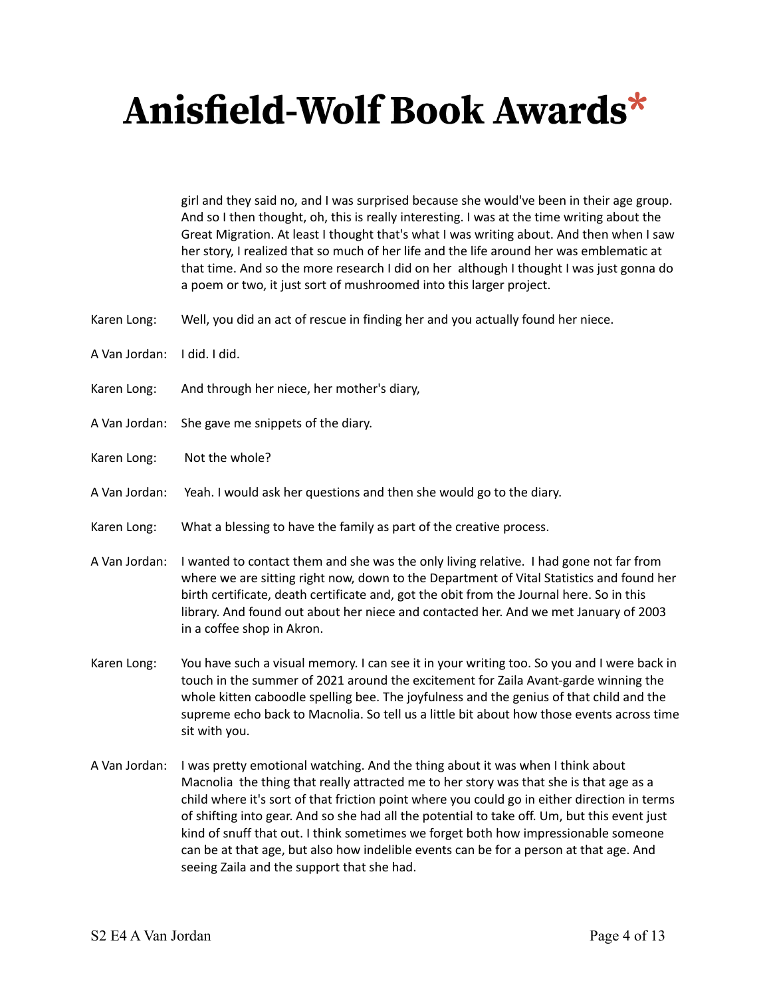girl and they said no, and I was surprised because she would've been in their age group. And so I then thought, oh, this is really interesting. I was at the time writing about the Great Migration. At least I thought that's what I was writing about. And then when I saw her story, I realized that so much of her life and the life around her was emblematic at that time. And so the more research I did on her although I thought I was just gonna do a poem or two, it just sort of mushroomed into this larger project.

- Karen Long: Well, you did an act of rescue in finding her and you actually found her niece.
- A Van Jordan: I did. I did.
- Karen Long: And through her niece, her mother's diary,
- A Van Jordan: She gave me snippets of the diary.
- Karen Long: Not the whole?
- A Van Jordan: Yeah. I would ask her questions and then she would go to the diary.
- Karen Long: What a blessing to have the family as part of the creative process.
- A Van Jordan: I wanted to contact them and she was the only living relative. I had gone not far from where we are sitting right now, down to the Department of Vital Statistics and found her birth certificate, death certificate and, got the obit from the Journal here. So in this library. And found out about her niece and contacted her. And we met January of 2003 in a coffee shop in Akron.
- Karen Long: You have such a visual memory. I can see it in your writing too. So you and I were back in touch in the summer of 2021 around the excitement for Zaila Avant-garde winning the whole kitten caboodle spelling bee. The joyfulness and the genius of that child and the supreme echo back to Macnolia. So tell us a little bit about how those events across time sit with you.
- A Van Jordan: I was pretty emotional watching. And the thing about it was when I think about Macnolia the thing that really attracted me to her story was that she is that age as a child where it's sort of that friction point where you could go in either direction in terms of shifting into gear. And so she had all the potential to take off. Um, but this event just kind of snuff that out. I think sometimes we forget both how impressionable someone can be at that age, but also how indelible events can be for a person at that age. And seeing Zaila and the support that she had.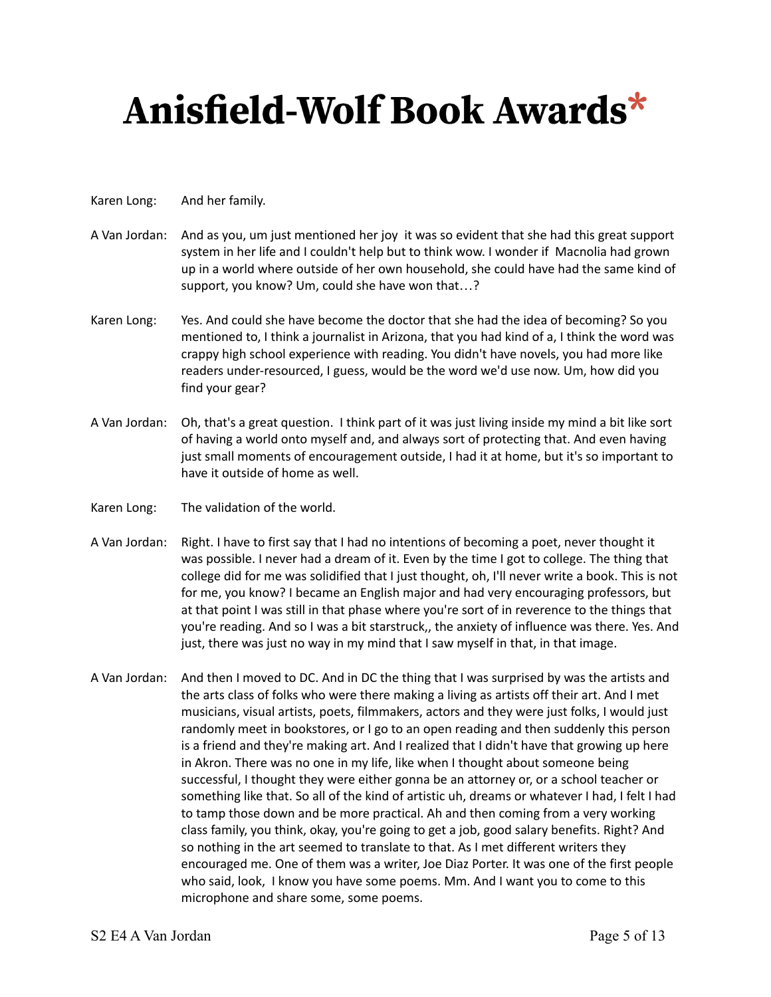#### Karen Long: And her family.

- A Van Jordan: And as you, um just mentioned her joy it was so evident that she had this great support system in her life and I couldn't help but to think wow. I wonder if Macnolia had grown up in a world where outside of her own household, she could have had the same kind of support, you know? Um, could she have won that…?
- Karen Long: Yes. And could she have become the doctor that she had the idea of becoming? So you mentioned to, I think a journalist in Arizona, that you had kind of a, I think the word was crappy high school experience with reading. You didn't have novels, you had more like readers under-resourced, I guess, would be the word we'd use now. Um, how did you find your gear?
- A Van Jordan: Oh, that's a great question. I think part of it was just living inside my mind a bit like sort of having a world onto myself and, and always sort of protecting that. And even having just small moments of encouragement outside, I had it at home, but it's so important to have it outside of home as well.
- Karen Long: The validation of the world.
- A Van Jordan: Right. I have to first say that I had no intentions of becoming a poet, never thought it was possible. I never had a dream of it. Even by the time I got to college. The thing that college did for me was solidified that I just thought, oh, I'll never write a book. This is not for me, you know? I became an English major and had very encouraging professors, but at that point I was still in that phase where you're sort of in reverence to the things that you're reading. And so I was a bit starstruck,, the anxiety of influence was there. Yes. And just, there was just no way in my mind that I saw myself in that, in that image.
- A Van Jordan: And then I moved to DC. And in DC the thing that I was surprised by was the artists and the arts class of folks who were there making a living as artists off their art. And I met musicians, visual artists, poets, filmmakers, actors and they were just folks, I would just randomly meet in bookstores, or I go to an open reading and then suddenly this person is a friend and they're making art. And I realized that I didn't have that growing up here in Akron. There was no one in my life, like when I thought about someone being successful, I thought they were either gonna be an attorney or, or a school teacher or something like that. So all of the kind of artistic uh, dreams or whatever I had, I felt I had to tamp those down and be more practical. Ah and then coming from a very working class family, you think, okay, you're going to get a job, good salary benefits. Right? And so nothing in the art seemed to translate to that. As I met different writers they encouraged me. One of them was a writer, Joe Diaz Porter. It was one of the first people who said, look, I know you have some poems. Mm. And I want you to come to this microphone and share some, some poems.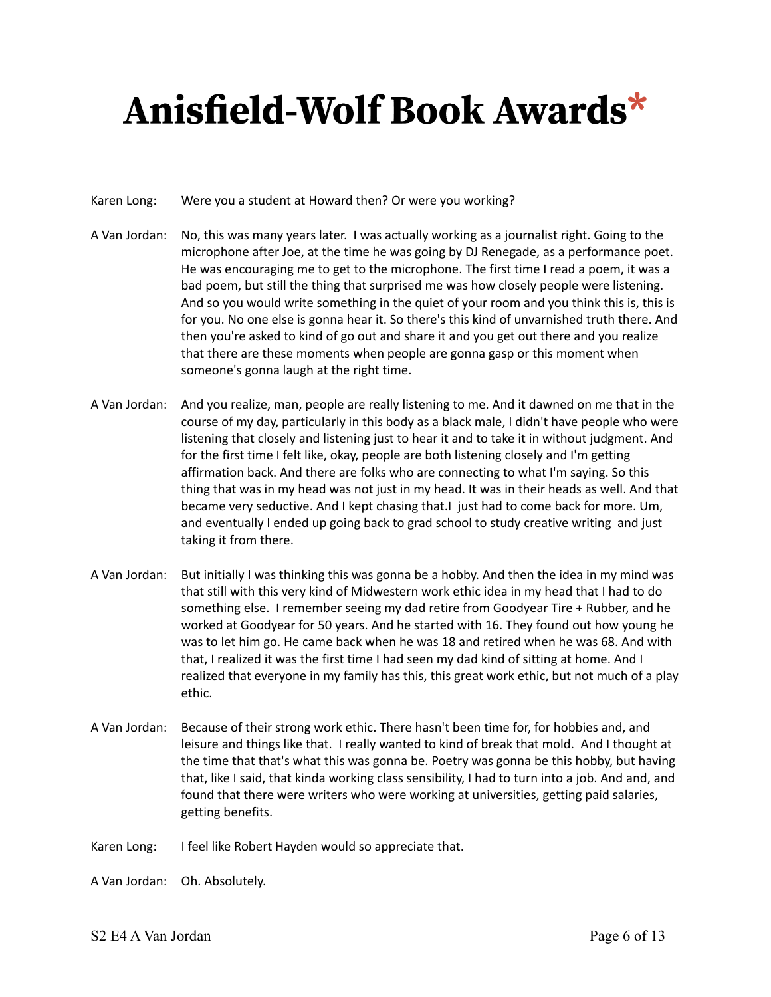#### Karen Long: Were you a student at Howard then? Or were you working?

- A Van Jordan: No, this was many years later. I was actually working as a journalist right. Going to the microphone after Joe, at the time he was going by DJ Renegade, as a performance poet. He was encouraging me to get to the microphone. The first time I read a poem, it was a bad poem, but still the thing that surprised me was how closely people were listening. And so you would write something in the quiet of your room and you think this is, this is for you. No one else is gonna hear it. So there's this kind of unvarnished truth there. And then you're asked to kind of go out and share it and you get out there and you realize that there are these moments when people are gonna gasp or this moment when someone's gonna laugh at the right time.
- A Van Jordan: And you realize, man, people are really listening to me. And it dawned on me that in the course of my day, particularly in this body as a black male, I didn't have people who were listening that closely and listening just to hear it and to take it in without judgment. And for the first time I felt like, okay, people are both listening closely and I'm getting affirmation back. And there are folks who are connecting to what I'm saying. So this thing that was in my head was not just in my head. It was in their heads as well. And that became very seductive. And I kept chasing that.I just had to come back for more. Um, and eventually I ended up going back to grad school to study creative writing and just taking it from there.
- A Van Jordan: But initially I was thinking this was gonna be a hobby. And then the idea in my mind was that still with this very kind of Midwestern work ethic idea in my head that I had to do something else. I remember seeing my dad retire from Goodyear Tire + Rubber, and he worked at Goodyear for 50 years. And he started with 16. They found out how young he was to let him go. He came back when he was 18 and retired when he was 68. And with that, I realized it was the first time I had seen my dad kind of sitting at home. And I realized that everyone in my family has this, this great work ethic, but not much of a play ethic.
- A Van Jordan: Because of their strong work ethic. There hasn't been time for, for hobbies and, and leisure and things like that. I really wanted to kind of break that mold. And I thought at the time that that's what this was gonna be. Poetry was gonna be this hobby, but having that, like I said, that kinda working class sensibility, I had to turn into a job. And and, and found that there were writers who were working at universities, getting paid salaries, getting benefits.
- Karen Long: I feel like Robert Hayden would so appreciate that.

A Van Jordan: Oh. Absolutely.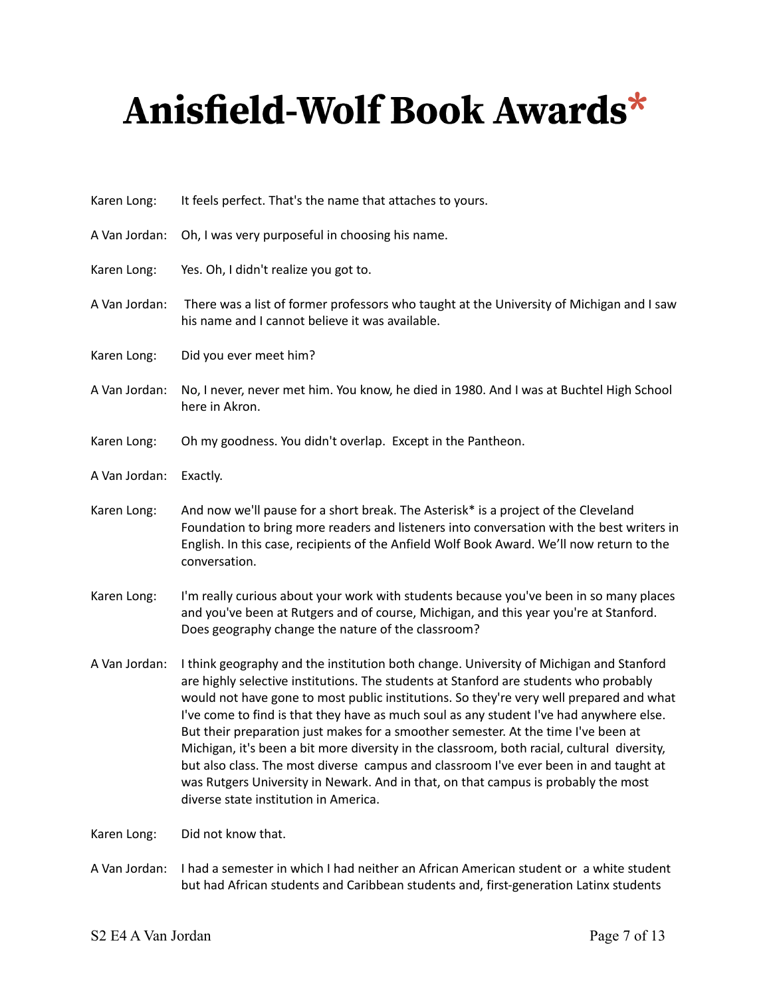| Karen Long:   | It feels perfect. That's the name that attaches to yours.                                                                                                                                                                                                                                                                                                                                                                                                                                                                                                                                                                                                                                                                                                                          |
|---------------|------------------------------------------------------------------------------------------------------------------------------------------------------------------------------------------------------------------------------------------------------------------------------------------------------------------------------------------------------------------------------------------------------------------------------------------------------------------------------------------------------------------------------------------------------------------------------------------------------------------------------------------------------------------------------------------------------------------------------------------------------------------------------------|
| A Van Jordan: | Oh, I was very purposeful in choosing his name.                                                                                                                                                                                                                                                                                                                                                                                                                                                                                                                                                                                                                                                                                                                                    |
| Karen Long:   | Yes. Oh, I didn't realize you got to.                                                                                                                                                                                                                                                                                                                                                                                                                                                                                                                                                                                                                                                                                                                                              |
| A Van Jordan: | There was a list of former professors who taught at the University of Michigan and I saw<br>his name and I cannot believe it was available.                                                                                                                                                                                                                                                                                                                                                                                                                                                                                                                                                                                                                                        |
| Karen Long:   | Did you ever meet him?                                                                                                                                                                                                                                                                                                                                                                                                                                                                                                                                                                                                                                                                                                                                                             |
| A Van Jordan: | No, I never, never met him. You know, he died in 1980. And I was at Buchtel High School<br>here in Akron.                                                                                                                                                                                                                                                                                                                                                                                                                                                                                                                                                                                                                                                                          |
| Karen Long:   | Oh my goodness. You didn't overlap. Except in the Pantheon.                                                                                                                                                                                                                                                                                                                                                                                                                                                                                                                                                                                                                                                                                                                        |
| A Van Jordan: | Exactly.                                                                                                                                                                                                                                                                                                                                                                                                                                                                                                                                                                                                                                                                                                                                                                           |
| Karen Long:   | And now we'll pause for a short break. The Asterisk* is a project of the Cleveland<br>Foundation to bring more readers and listeners into conversation with the best writers in<br>English. In this case, recipients of the Anfield Wolf Book Award. We'll now return to the<br>conversation.                                                                                                                                                                                                                                                                                                                                                                                                                                                                                      |
| Karen Long:   | I'm really curious about your work with students because you've been in so many places<br>and you've been at Rutgers and of course, Michigan, and this year you're at Stanford.<br>Does geography change the nature of the classroom?                                                                                                                                                                                                                                                                                                                                                                                                                                                                                                                                              |
| A Van Jordan: | I think geography and the institution both change. University of Michigan and Stanford<br>are highly selective institutions. The students at Stanford are students who probably<br>would not have gone to most public institutions. So they're very well prepared and what<br>I've come to find is that they have as much soul as any student I've had anywhere else.<br>But their preparation just makes for a smoother semester. At the time I've been at<br>Michigan, it's been a bit more diversity in the classroom, both racial, cultural diversity,<br>but also class. The most diverse campus and classroom I've ever been in and taught at<br>was Rutgers University in Newark. And in that, on that campus is probably the most<br>diverse state institution in America. |
| Karen Long:   | Did not know that.                                                                                                                                                                                                                                                                                                                                                                                                                                                                                                                                                                                                                                                                                                                                                                 |

A Van Jordan: I had a semester in which I had neither an African American student or a white student but had African students and Caribbean students and, first-generation Latinx students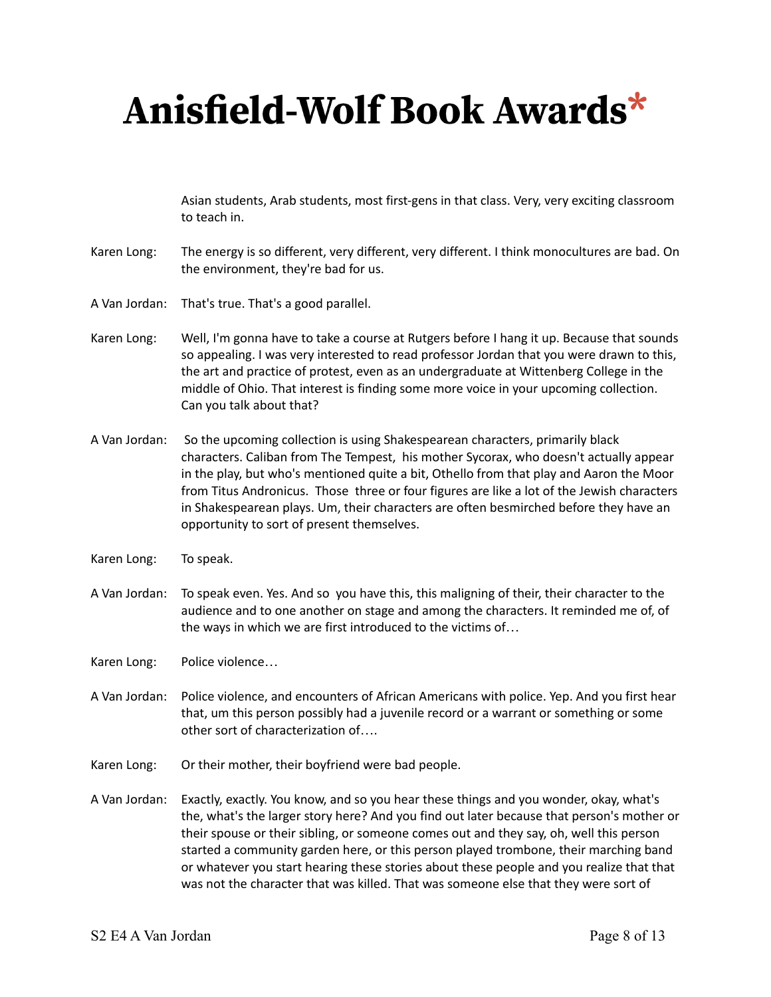Asian students, Arab students, most first-gens in that class. Very, very exciting classroom to teach in.

- Karen Long: The energy is so different, very different, very different. I think monocultures are bad. On the environment, they're bad for us.
- A Van Jordan: That's true. That's a good parallel.
- Karen Long: Well, I'm gonna have to take a course at Rutgers before I hang it up. Because that sounds so appealing. I was very interested to read professor Jordan that you were drawn to this, the art and practice of protest, even as an undergraduate at Wittenberg College in the middle of Ohio. That interest is finding some more voice in your upcoming collection. Can you talk about that?
- A Van Jordan: So the upcoming collection is using Shakespearean characters, primarily black characters. Caliban from The Tempest, his mother Sycorax, who doesn't actually appear in the play, but who's mentioned quite a bit, Othello from that play and Aaron the Moor from Titus Andronicus. Those three or four figures are like a lot of the Jewish characters in Shakespearean plays. Um, their characters are often besmirched before they have an opportunity to sort of present themselves.
- Karen Long: To speak.
- A Van Jordan: To speak even. Yes. And so you have this, this maligning of their, their character to the audience and to one another on stage and among the characters. It reminded me of, of the ways in which we are first introduced to the victims of…
- Karen Long: Police violence…
- A Van Jordan: Police violence, and encounters of African Americans with police. Yep. And you first hear that, um this person possibly had a juvenile record or a warrant or something or some other sort of characterization of….
- Karen Long: Or their mother, their boyfriend were bad people.
- A Van Jordan: Exactly, exactly. You know, and so you hear these things and you wonder, okay, what's the, what's the larger story here? And you find out later because that person's mother or their spouse or their sibling, or someone comes out and they say, oh, well this person started a community garden here, or this person played trombone, their marching band or whatever you start hearing these stories about these people and you realize that that was not the character that was killed. That was someone else that they were sort of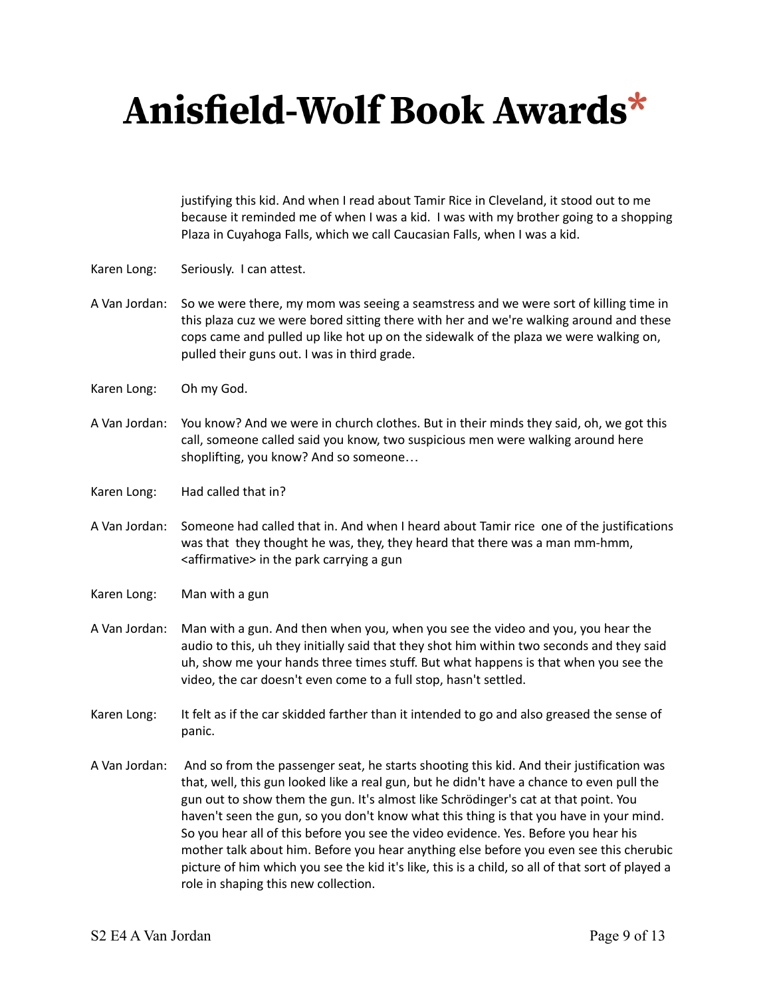justifying this kid. And when I read about Tamir Rice in Cleveland, it stood out to me because it reminded me of when I was a kid. I was with my brother going to a shopping Plaza in Cuyahoga Falls, which we call Caucasian Falls, when I was a kid.

- Karen Long: Seriously. I can attest.
- A Van Jordan: So we were there, my mom was seeing a seamstress and we were sort of killing time in this plaza cuz we were bored sitting there with her and we're walking around and these cops came and pulled up like hot up on the sidewalk of the plaza we were walking on, pulled their guns out. I was in third grade.
- Karen Long: Oh my God.
- A Van Jordan: You know? And we were in church clothes. But in their minds they said, oh, we got this call, someone called said you know, two suspicious men were walking around here shoplifting, you know? And so someone…
- Karen Long: Had called that in?
- A Van Jordan: Someone had called that in. And when I heard about Tamir rice one of the justifications was that they thought he was, they, they heard that there was a man mm-hmm, <affirmative> in the park carrying a gun
- Karen Long: Man with a gun
- A Van Jordan: Man with a gun. And then when you, when you see the video and you, you hear the audio to this, uh they initially said that they shot him within two seconds and they said uh, show me your hands three times stuff. But what happens is that when you see the video, the car doesn't even come to a full stop, hasn't settled.
- Karen Long: It felt as if the car skidded farther than it intended to go and also greased the sense of panic.
- A Van Jordan: And so from the passenger seat, he starts shooting this kid. And their justification was that, well, this gun looked like a real gun, but he didn't have a chance to even pull the gun out to show them the gun. It's almost like Schrödinger's cat at that point. You haven't seen the gun, so you don't know what this thing is that you have in your mind. So you hear all of this before you see the video evidence. Yes. Before you hear his mother talk about him. Before you hear anything else before you even see this cherubic picture of him which you see the kid it's like, this is a child, so all of that sort of played a role in shaping this new collection.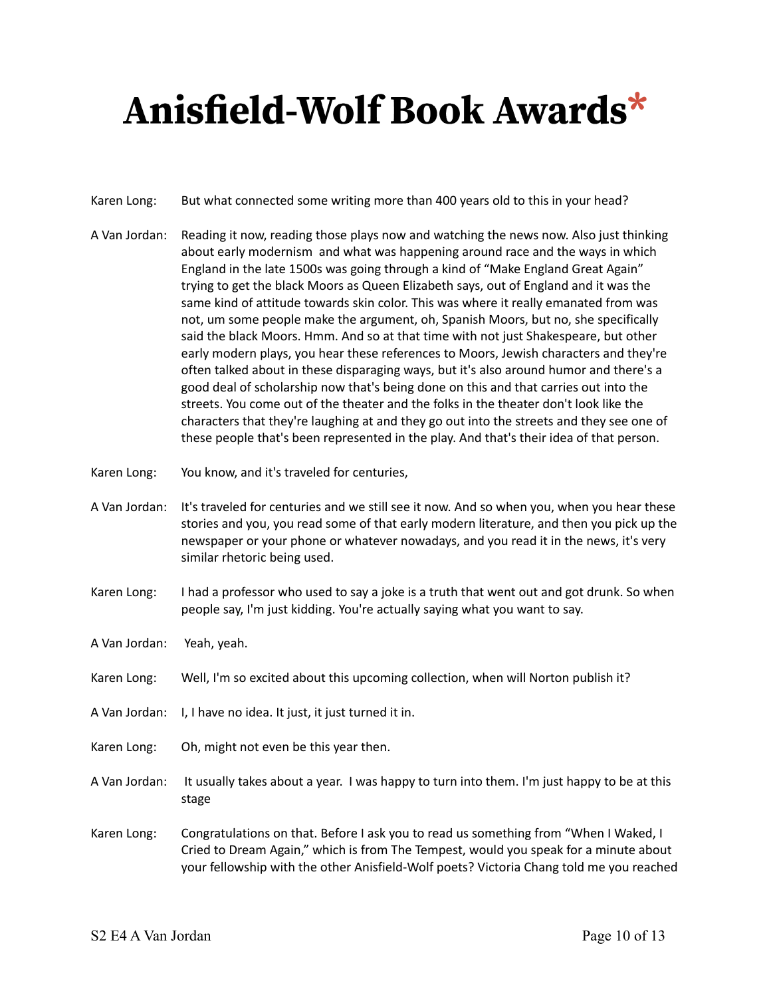- Karen Long: But what connected some writing more than 400 years old to this in your head?
- A Van Jordan: Reading it now, reading those plays now and watching the news now. Also just thinking about early modernism and what was happening around race and the ways in which England in the late 1500s was going through a kind of "Make England Great Again" trying to get the black Moors as Queen Elizabeth says, out of England and it was the same kind of attitude towards skin color. This was where it really emanated from was not, um some people make the argument, oh, Spanish Moors, but no, she specifically said the black Moors. Hmm. And so at that time with not just Shakespeare, but other early modern plays, you hear these references to Moors, Jewish characters and they're often talked about in these disparaging ways, but it's also around humor and there's a good deal of scholarship now that's being done on this and that carries out into the streets. You come out of the theater and the folks in the theater don't look like the characters that they're laughing at and they go out into the streets and they see one of these people that's been represented in the play. And that's their idea of that person.
- Karen Long: You know, and it's traveled for centuries,
- A Van Jordan: It's traveled for centuries and we still see it now. And so when you, when you hear these stories and you, you read some of that early modern literature, and then you pick up the newspaper or your phone or whatever nowadays, and you read it in the news, it's very similar rhetoric being used.
- Karen Long: I had a professor who used to say a joke is a truth that went out and got drunk. So when people say, I'm just kidding. You're actually saying what you want to say.
- A Van Jordan: Yeah, yeah.
- Karen Long: Well, I'm so excited about this upcoming collection, when will Norton publish it?
- A Van Jordan: I, I have no idea. It just, it just turned it in.
- Karen Long: Oh, might not even be this year then.
- A Van Jordan: It usually takes about a year. I was happy to turn into them. I'm just happy to be at this stage
- Karen Long: Congratulations on that. Before I ask you to read us something from "When I Waked, I Cried to Dream Again," which is from The Tempest, would you speak for a minute about your fellowship with the other Anisfield-Wolf poets? Victoria Chang told me you reached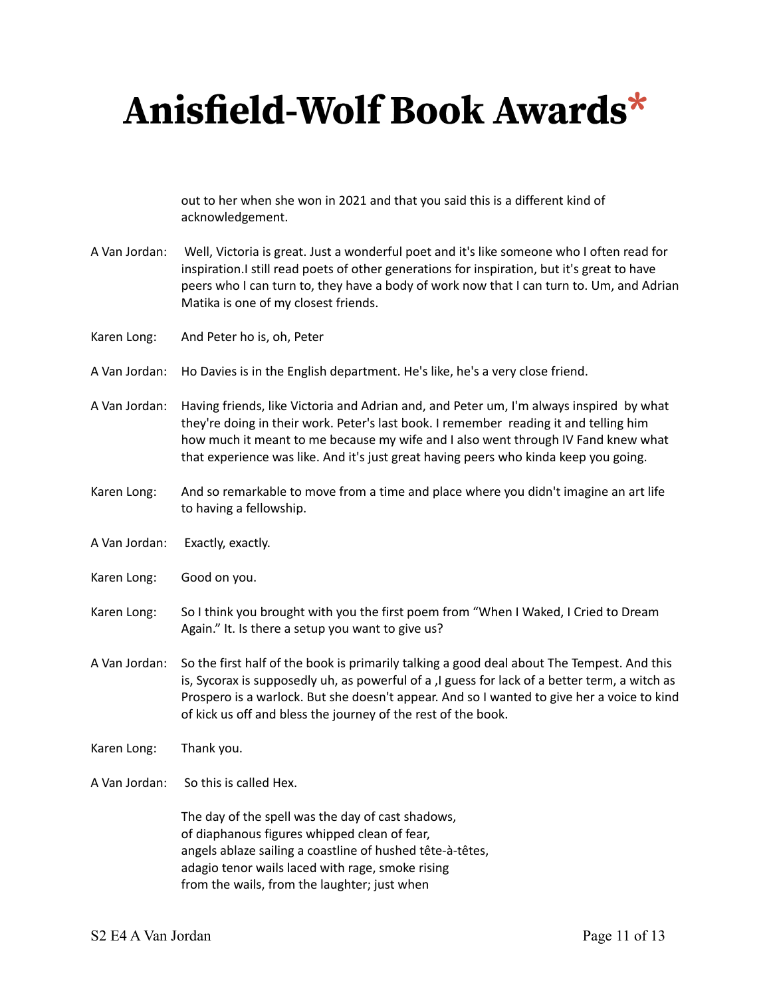out to her when she won in 2021 and that you said this is a different kind of acknowledgement.

- A Van Jordan: Well, Victoria is great. Just a wonderful poet and it's like someone who I often read for inspiration.I still read poets of other generations for inspiration, but it's great to have peers who I can turn to, they have a body of work now that I can turn to. Um, and Adrian Matika is one of my closest friends.
- Karen Long: And Peter ho is, oh, Peter
- A Van Jordan: Ho Davies is in the English department. He's like, he's a very close friend.
- A Van Jordan: Having friends, like Victoria and Adrian and, and Peter um, I'm always inspired by what they're doing in their work. Peter's last book. I remember reading it and telling him how much it meant to me because my wife and I also went through IV Fand knew what that experience was like. And it's just great having peers who kinda keep you going.
- Karen Long: And so remarkable to move from a time and place where you didn't imagine an art life to having a fellowship.
- A Van Jordan: Exactly, exactly.
- Karen Long: Good on you.
- Karen Long: So I think you brought with you the first poem from "When I Waked, I Cried to Dream Again." It. Is there a setup you want to give us?
- A Van Jordan: So the first half of the book is primarily talking a good deal about The Tempest. And this is, Sycorax is supposedly uh, as powerful of a ,I guess for lack of a better term, a witch as Prospero is a warlock. But she doesn't appear. And so I wanted to give her a voice to kind of kick us off and bless the journey of the rest of the book.
- Karen Long: Thank you.
- A Van Jordan: So this is called Hex.

The day of the spell was the day of cast shadows, of diaphanous figures whipped clean of fear, angels ablaze sailing a coastline of hushed tête-à-têtes, adagio tenor wails laced with rage, smoke rising from the wails, from the laughter; just when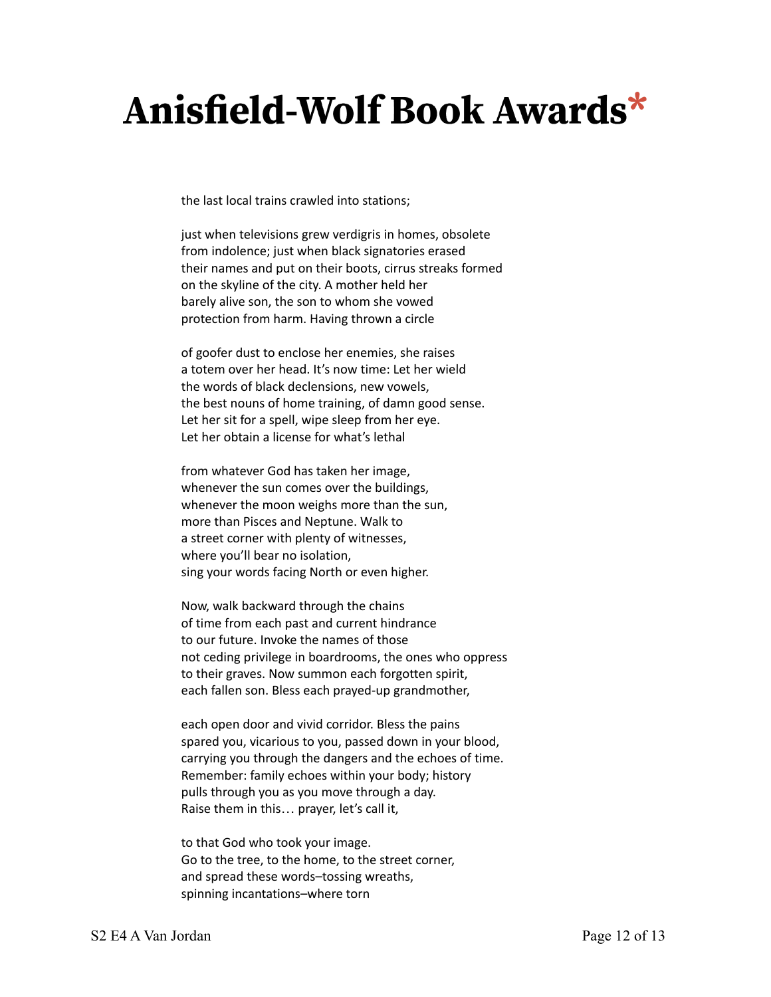the last local trains crawled into stations;

just when televisions grew verdigris in homes, obsolete from indolence; just when black signatories erased their names and put on their boots, cirrus streaks formed on the skyline of the city. A mother held her barely alive son, the son to whom she vowed protection from harm. Having thrown a circle

of goofer dust to enclose her enemies, she raises a totem over her head. It's now time: Let her wield the words of black declensions, new vowels, the best nouns of home training, of damn good sense. Let her sit for a spell, wipe sleep from her eye. Let her obtain a license for what's lethal

from whatever God has taken her image, whenever the sun comes over the buildings, whenever the moon weighs more than the sun, more than Pisces and Neptune. Walk to a street corner with plenty of witnesses, where you'll bear no isolation, sing your words facing North or even higher.

Now, walk backward through the chains of time from each past and current hindrance to our future. Invoke the names of those not ceding privilege in boardrooms, the ones who oppress to their graves. Now summon each forgotten spirit, each fallen son. Bless each prayed-up grandmother,

each open door and vivid corridor. Bless the pains spared you, vicarious to you, passed down in your blood, carrying you through the dangers and the echoes of time. Remember: family echoes within your body; history pulls through you as you move through a day. Raise them in this… prayer, let's call it,

to that God who took your image. Go to the tree, to the home, to the street corner, and spread these words–tossing wreaths, spinning incantations–where torn